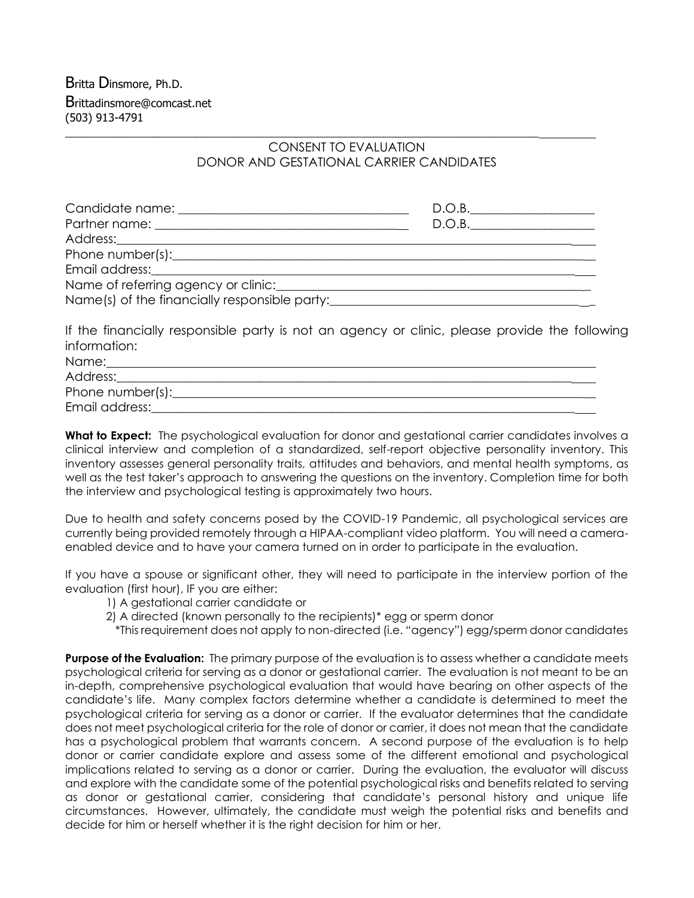## CONSENT TO EVALUATION DONOR AND GESTATIONAL CARRIER CANDIDATES

\_\_\_\_\_\_\_\_\_\_\_\_\_\_\_\_\_\_\_\_\_\_\_\_\_\_\_\_\_\_\_\_\_\_\_\_\_\_\_\_\_\_\_\_\_\_\_\_\_\_\_\_\_\_\_\_\_\_\_\_\_\_\_\_\_\_\_\_\_\_\_\_\_\_\_\_

| Candidate name: <u>contract and contract and contract and contract and contract and contract and contract and contract and contract and contract and contract and contract and contract and contract and contract and contract a</u> | D.O.B. |
|--------------------------------------------------------------------------------------------------------------------------------------------------------------------------------------------------------------------------------------|--------|
|                                                                                                                                                                                                                                      | D.O.B. |
|                                                                                                                                                                                                                                      |        |
|                                                                                                                                                                                                                                      |        |
| Email address: <u>contract and a series of the series of the series of the series of the series of the series of the series of the series of the series of the series of the series of the series of the series of the series of</u> |        |
| Name of referring agency or clinic: Name of referring agency or clinic:                                                                                                                                                              |        |
| Name(s) of the financially responsible party:                                                                                                                                                                                        |        |

If the financially responsible party is not an agency or clinic, please provide the following information:

| Name:            |  |
|------------------|--|
| Address:         |  |
| Phone number(s): |  |
| Email address:   |  |
|                  |  |

**What to Expect:** The psychological evaluation for donor and gestational carrier candidates involves a clinical interview and completion of a standardized, self-report objective personality inventory. This inventory assesses general personality traits, attitudes and behaviors, and mental health symptoms, as well as the test taker's approach to answering the questions on the inventory. Completion time for both the interview and psychological testing is approximately two hours.

Due to health and safety concerns posed by the COVID-19 Pandemic, all psychological services are currently being provided remotely through a HIPAA-compliant video platform. You will need a cameraenabled device and to have your camera turned on in order to participate in the evaluation.

If you have a spouse or significant other, they will need to participate in the interview portion of the evaluation (first hour), IF you are either:

- 1) A gestational carrier candidate or
- 2) A directed (known personally to the recipients)\* egg or sperm donor
	- \*This requirement does not apply to non-directed (i.e. "agency") egg/sperm donor candidates

**Purpose of the Evaluation:** The primary purpose of the evaluation is to assess whether a candidate meets psychological criteria for serving as a donor or gestational carrier. The evaluation is not meant to be an in-depth, comprehensive psychological evaluation that would have bearing on other aspects of the candidate's life. Many complex factors determine whether a candidate is determined to meet the psychological criteria for serving as a donor or carrier. If the evaluator determines that the candidate does not meet psychological criteria for the role of donor or carrier, it does not mean that the candidate has a psychological problem that warrants concern. A second purpose of the evaluation is to help donor or carrier candidate explore and assess some of the different emotional and psychological implications related to serving as a donor or carrier. During the evaluation, the evaluator will discuss and explore with the candidate some of the potential psychological risks and benefits related to serving as donor or gestational carrier, considering that candidate's personal history and unique life circumstances. However, ultimately, the candidate must weigh the potential risks and benefits and decide for him or herself whether it is the right decision for him or her.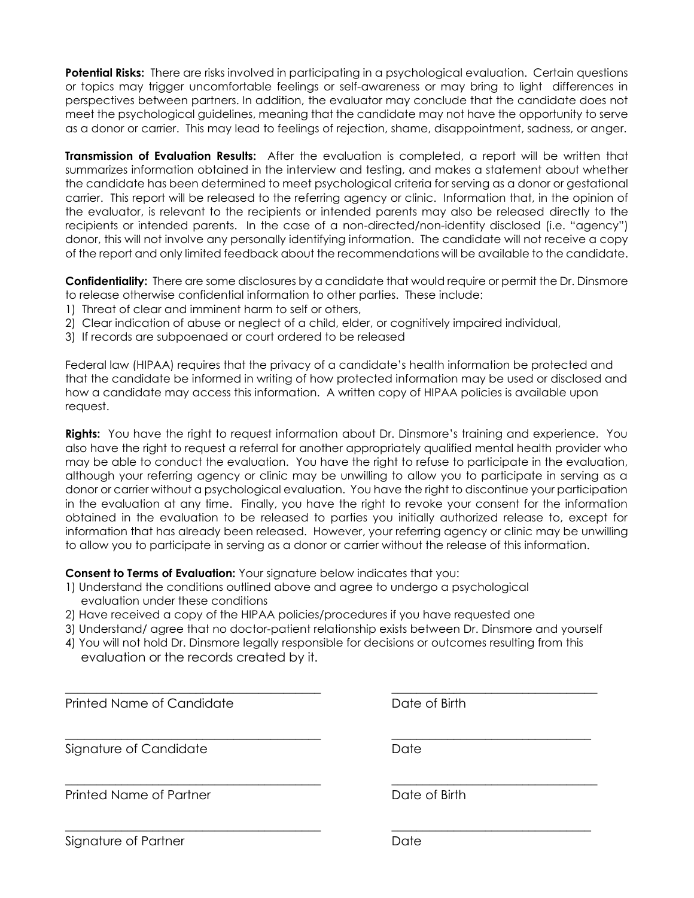**Potential Risks:** There are risks involved in participating in a psychological evaluation. Certain questions or topics may trigger uncomfortable feelings or self-awareness or may bring to light differences in perspectives between partners. In addition, the evaluator may conclude that the candidate does not meet the psychological guidelines, meaning that the candidate may not have the opportunity to serve as a donor or carrier. This may lead to feelings of rejection, shame, disappointment, sadness, or anger.

**Transmission of Evaluation Results:** After the evaluation is completed, a report will be written that summarizes information obtained in the interview and testing, and makes a statement about whether the candidate has been determined to meet psychological criteria for serving as a donor or gestational carrier. This report will be released to the referring agency or clinic. Information that, in the opinion of the evaluator, is relevant to the recipients or intended parents may also be released directly to the recipients or intended parents. In the case of a non-directed/non-identity disclosed (i.e. "agency") donor, this will not involve any personally identifying information. The candidate will not receive a copy of the report and only limited feedback about the recommendations will be available to the candidate.

**Confidentiality:** There are some disclosures by a candidate that would require or permit the Dr. Dinsmore to release otherwise confidential information to other parties. These include:

- 1) Threat of clear and imminent harm to self or others,
- 2) Clear indication of abuse or neglect of a child, elder, or cognitively impaired individual,
- 3) If records are subpoenaed or court ordered to be released

Federal law (HIPAA) requires that the privacy of a candidate's health information be protected and that the candidate be informed in writing of how protected information may be used or disclosed and how a candidate may access this information. A written copy of HIPAA policies is available upon request.

**Rights:** You have the right to request information about Dr. Dinsmore's training and experience. You also have the right to request a referral for another appropriately qualified mental health provider who may be able to conduct the evaluation. You have the right to refuse to participate in the evaluation, although your referring agency or clinic may be unwilling to allow you to participate in serving as a donor or carrier without a psychological evaluation. You have the right to discontinue your participation in the evaluation at any time. Finally, you have the right to revoke your consent for the information obtained in the evaluation to be released to parties you initially authorized release to, except for information that has already been released. However, your referring agency or clinic may be unwilling to allow you to participate in serving as a donor or carrier without the release of this information.

**Consent to Terms of Evaluation:** Your signature below indicates that you:

- 1) Understand the conditions outlined above and agree to undergo a psychological evaluation under these conditions
- 2) Have received a copy of the HIPAA policies/procedures if you have requested one
- 3) Understand/ agree that no doctor-patient relationship exists between Dr. Dinsmore and yourself
- 4) You will not hold Dr. Dinsmore legally responsible for decisions or outcomes resulting from this evaluation or the records created by it.

| Printed Name of Candidate | Date of Birth |
|---------------------------|---------------|
| Signature of Candidate    | Date          |
| Printed Name of Partner   | Date of Birth |
| Signature of Partner      | Date          |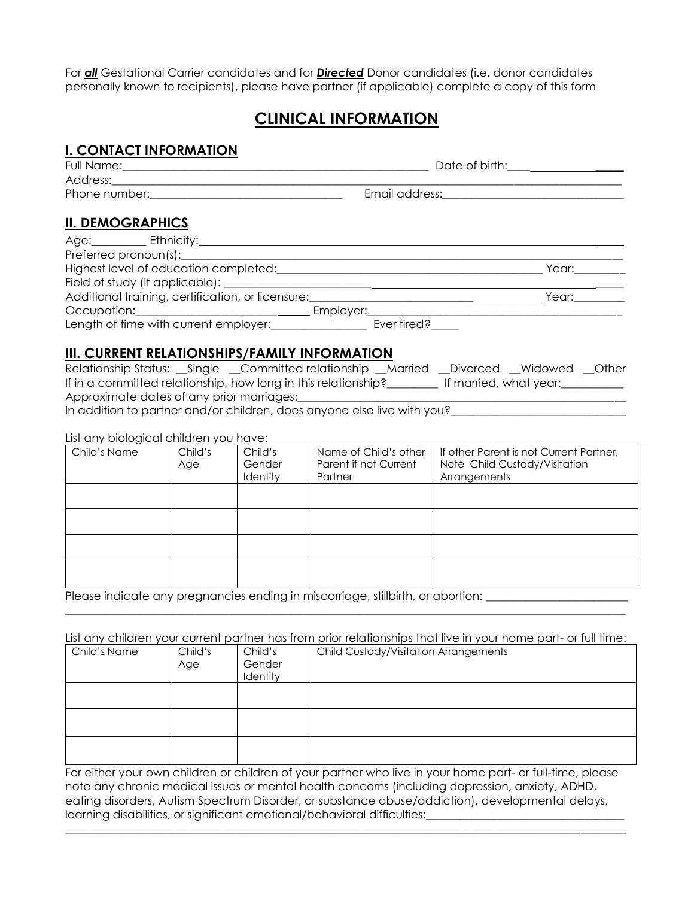For *all* Gestational Carrier candidates and for *Directed* Donor candidates (i.e. donor candidates personally known to recipients), please have partner (if applicable) complete a copy of this form

# **CLINICAL INFORMATION**

## **I. CONTACT INFORMATION**

| Full Name:    | Date of birth: |
|---------------|----------------|
| Address:      |                |
| Phone number: | Email address: |

## **II. DEMOGRAPHICS**

| Age: Ethnicity:                                                                                                                                                                                                                |           |             |                                                        |
|--------------------------------------------------------------------------------------------------------------------------------------------------------------------------------------------------------------------------------|-----------|-------------|--------------------------------------------------------|
| Preferred pronoun(s):                                                                                                                                                                                                          |           |             |                                                        |
|                                                                                                                                                                                                                                |           |             | Year: The Manager of the Manager of the Search Studies |
|                                                                                                                                                                                                                                |           |             |                                                        |
| Additional training, certification, or licensure:                                                                                                                                                                              |           |             | Year:                                                  |
| Occupation: Network of the Contract of the Contract of the Contract of the Contract of the Contract of the Contract of the Contract of the Contract of the Contract of the Contract of the Contract of the Contract of the Con | Employer: |             |                                                        |
| Length of time with current employer:                                                                                                                                                                                          |           | Ever fired? |                                                        |

## **III. CURRENT RELATIONSHIPS/FAMILY INFORMATION**

|                                           | Relationship Status: __Single __Committed relationship __Married __Divorced __Widowed __Other |                        |  |
|-------------------------------------------|-----------------------------------------------------------------------------------------------|------------------------|--|
|                                           | If in a committed relationship, how long in this relationship?                                | If married, what year: |  |
| Approximate dates of any prior marriages: |                                                                                               |                        |  |
|                                           |                                                                                               |                        |  |

In addition to partner and/or children, does anyone else live with you?<br><u>\_\_\_\_\_\_\_\_\_\_\_\_\_\_\_\_\_\_\_\_\_\_\_\_\_\_\_\_\_\_\_\_\_\_</u>

#### List any biological children you have:

| Child's Name | Child's<br>Age | Child's<br>Gender<br>Identity | Name of Child's other<br>Parent if not Current<br>Partner | If other Parent is not Current Partner,<br>Note Child Custody/Visitation<br>Arrangements |
|--------------|----------------|-------------------------------|-----------------------------------------------------------|------------------------------------------------------------------------------------------|
|              |                |                               |                                                           |                                                                                          |
|              |                |                               |                                                           |                                                                                          |
|              |                |                               |                                                           |                                                                                          |
|              |                |                               |                                                           |                                                                                          |

Please indicate any pregnancies ending in miscarriage, stillbirth, or abortion: \_\_\_\_\_\_\_\_\_\_\_\_\_\_\_\_\_\_\_\_\_\_\_\_\_\_\_\_\_

List any children your current partner has from prior relationships that live in your home part- or full time:

 $\_$  ,  $\_$  ,  $\_$  ,  $\_$  ,  $\_$  ,  $\_$  ,  $\_$  ,  $\_$  ,  $\_$  ,  $\_$  ,  $\_$  ,  $\_$  ,  $\_$  ,  $\_$  ,  $\_$  ,  $\_$  ,  $\_$  ,  $\_$  ,  $\_$  ,  $\_$  ,  $\_$  ,  $\_$  ,  $\_$  ,  $\_$  ,  $\_$  ,  $\_$  ,  $\_$  ,  $\_$  ,  $\_$  ,  $\_$  ,  $\_$  ,  $\_$  ,  $\_$  ,  $\_$  ,  $\_$  ,  $\_$  ,  $\_$  ,

| Child's Name | Child's<br>Age | Child's<br>Gender<br>Identity | Child Custody/Visitation Arrangements |
|--------------|----------------|-------------------------------|---------------------------------------|
|              |                |                               |                                       |
|              |                |                               |                                       |
|              |                |                               |                                       |

For either your own children or children of your partner who live in your home part- or full-time, please note any chronic medical issues or mental health concerns (including depression, anxiety, ADHD, eating disorders, Autism Spectrum Disorder, or substance abuse/addiction), developmental delays, learning disabilities, or significant emotional/behavioral difficulties:\_\_\_\_\_\_\_\_\_\_\_\_\_\_\_

 $\_$  ,  $\_$  ,  $\_$  ,  $\_$  ,  $\_$  ,  $\_$  ,  $\_$  ,  $\_$  ,  $\_$  ,  $\_$  ,  $\_$  ,  $\_$  ,  $\_$  ,  $\_$  ,  $\_$  ,  $\_$  ,  $\_$  ,  $\_$  ,  $\_$  ,  $\_$  ,  $\_$  ,  $\_$  ,  $\_$  ,  $\_$  ,  $\_$  ,  $\_$  ,  $\_$  ,  $\_$  ,  $\_$  ,  $\_$  ,  $\_$  ,  $\_$  ,  $\_$  ,  $\_$  ,  $\_$  ,  $\_$  ,  $\_$  ,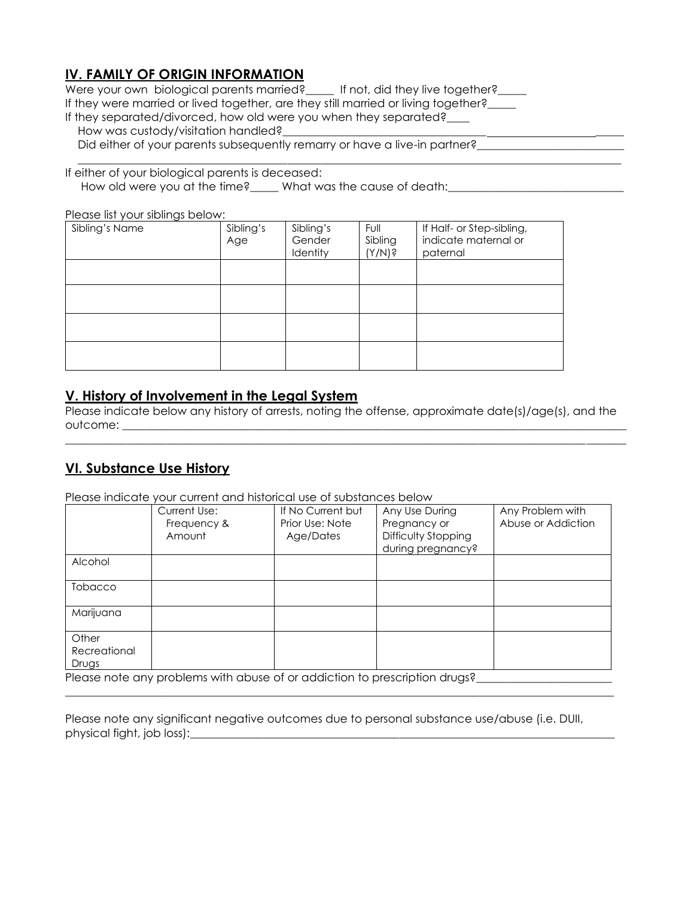## **IV. FAMILY OF ORIGIN INFORMATION**

Were your own biological parents married? \_\_\_\_\_ If not, did they live together? \_\_\_\_ If they were married or lived together, are they still married or living together? If they separated/divorced, how old were you when they separated?\_\_\_ How was custody/visitation handled?

Did either of your parents subsequently remarry or have a live-in partner?

If either of your biological parents is deceased:

How old were you at the time?\_\_\_\_\_ What was the cause of death:\_\_\_\_\_\_\_\_\_\_\_\_\_\_\_\_\_

Please list your siblings below:

| Sibling's Name | Sibling's<br>Age | Sibling's<br>Gender<br>Identity | Full<br>Sibling<br>(Y/N) ș | If Half- or Step-sibling,<br>indicate maternal or<br>paternal |
|----------------|------------------|---------------------------------|----------------------------|---------------------------------------------------------------|
|                |                  |                                 |                            |                                                               |
|                |                  |                                 |                            |                                                               |
|                |                  |                                 |                            |                                                               |
|                |                  |                                 |                            |                                                               |

## **V. History of Involvement in the Legal System**

Please indicate below any history of arrests, noting the offense, approximate date(s)/age(s), and the outcome: \_\_\_\_\_\_\_\_\_\_\_\_\_\_\_\_\_\_\_\_\_\_\_\_\_\_\_\_\_\_\_\_\_\_\_\_\_\_\_\_\_\_\_\_\_\_\_\_\_\_\_\_\_\_\_\_\_\_\_\_\_\_\_\_\_\_\_\_\_\_\_\_\_\_\_\_\_\_\_\_\_\_\_\_\_\_\_\_\_

 $\_$  ,  $\_$  ,  $\_$  ,  $\_$  ,  $\_$  ,  $\_$  ,  $\_$  ,  $\_$  ,  $\_$  ,  $\_$  ,  $\_$  ,  $\_$  ,  $\_$  ,  $\_$  ,  $\_$  ,  $\_$  ,  $\_$  ,  $\_$  ,  $\_$  ,  $\_$  ,  $\_$  ,  $\_$  ,  $\_$  ,  $\_$  ,  $\_$  ,  $\_$  ,  $\_$  ,  $\_$  ,  $\_$  ,  $\_$  ,  $\_$  ,  $\_$  ,  $\_$  ,  $\_$  ,  $\_$  ,  $\_$  ,  $\_$  ,

 $\overline{\phantom{a}}$  , and the set of the set of the set of the set of the set of the set of the set of the set of the set of the set of the set of the set of the set of the set of the set of the set of the set of the set of the s

## **VI. Substance Use History**

Please indicate your current and historical use of substances below

| .            | <u>ool oolioilli alla liisiolloal oso ol soissialloos isolo l</u>                                              |                   |                     |                    |
|--------------|----------------------------------------------------------------------------------------------------------------|-------------------|---------------------|--------------------|
|              | Current Use:                                                                                                   | If No Current but | Any Use During      | Any Problem with   |
|              | Frequency &                                                                                                    | Prior Use: Note   | Pregnancy or        | Abuse or Addiction |
|              | Amount                                                                                                         | Age/Dates         | Difficulty Stopping |                    |
|              |                                                                                                                |                   |                     |                    |
|              |                                                                                                                |                   | during pregnancy?   |                    |
| Alcohol      |                                                                                                                |                   |                     |                    |
|              |                                                                                                                |                   |                     |                    |
| Tobacco      |                                                                                                                |                   |                     |                    |
|              |                                                                                                                |                   |                     |                    |
| Marijuana    |                                                                                                                |                   |                     |                    |
|              |                                                                                                                |                   |                     |                    |
| Other        |                                                                                                                |                   |                     |                    |
| Recreational |                                                                                                                |                   |                     |                    |
|              |                                                                                                                |                   |                     |                    |
| Drugs        |                                                                                                                |                   |                     |                    |
|              | 0 در در این است و در است و در در در است از است و است و در است و در است و در است و در است و در است و در است و ا |                   |                     |                    |

Please note any problems with abuse of or addiction to prescription drugs?\_\_\_\_\_\_\_

Please note any significant negative outcomes due to personal substance use/abuse (i.e. DUII, physical fight, job loss):\_\_\_\_\_\_\_\_\_\_\_\_\_\_\_\_\_\_\_\_\_\_\_\_\_\_\_\_\_\_\_\_\_\_\_\_\_\_\_\_\_\_\_\_\_\_\_\_\_\_\_\_\_\_\_\_\_\_\_\_\_\_\_\_\_\_\_\_\_\_\_\_\_\_\_

 $\_$  ,  $\_$  ,  $\_$  ,  $\_$  ,  $\_$  ,  $\_$  ,  $\_$  ,  $\_$  ,  $\_$  ,  $\_$  ,  $\_$  ,  $\_$  ,  $\_$  ,  $\_$  ,  $\_$  ,  $\_$  ,  $\_$  ,  $\_$  ,  $\_$  ,  $\_$  ,  $\_$  ,  $\_$  ,  $\_$  ,  $\_$  ,  $\_$  ,  $\_$  ,  $\_$  ,  $\_$  ,  $\_$  ,  $\_$  ,  $\_$  ,  $\_$  ,  $\_$  ,  $\_$  ,  $\_$  ,  $\_$  ,  $\_$  ,